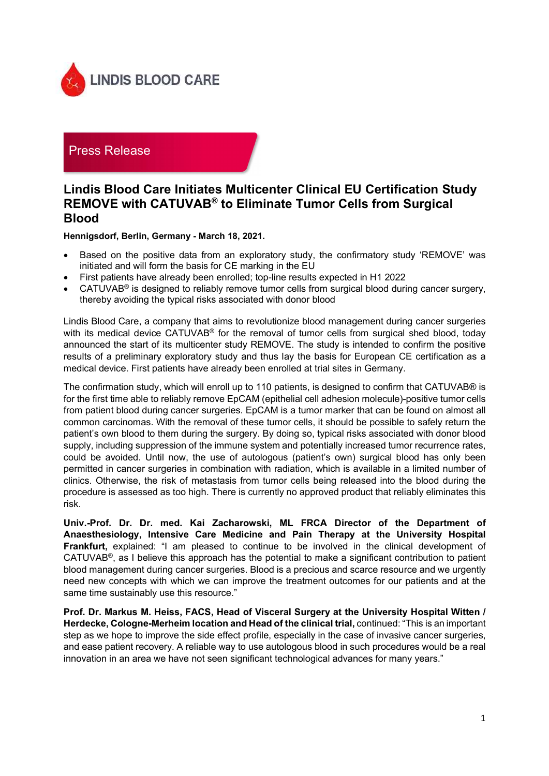

## Press Release

## Lindis Blood Care Initiates Multicenter Clinical EU Certification Study REMOVE with CATUVAB® to Eliminate Tumor Cells from Surgical Blood

Hennigsdorf, Berlin, Germany - March 18, 2021.

- Based on the positive data from an exploratory study, the confirmatory study 'REMOVE' was initiated and will form the basis for CE marking in the EU
- First patients have already been enrolled; top-line results expected in H1 2022
- CATUVAB® is designed to reliably remove tumor cells from surgical blood during cancer surgery, thereby avoiding the typical risks associated with donor blood

Lindis Blood Care, a company that aims to revolutionize blood management during cancer surgeries with its medical device CATUVAB<sup>®</sup> for the removal of tumor cells from surgical shed blood, today announced the start of its multicenter study REMOVE. The study is intended to confirm the positive results of a preliminary exploratory study and thus lay the basis for European CE certification as a medical device. First patients have already been enrolled at trial sites in Germany.

The confirmation study, which will enroll up to 110 patients, is designed to confirm that CATUVAB® is for the first time able to reliably remove EpCAM (epithelial cell adhesion molecule)-positive tumor cells from patient blood during cancer surgeries. EpCAM is a tumor marker that can be found on almost all common carcinomas. With the removal of these tumor cells, it should be possible to safely return the patient's own blood to them during the surgery. By doing so, typical risks associated with donor blood supply, including suppression of the immune system and potentially increased tumor recurrence rates, could be avoided. Until now, the use of autologous (patient's own) surgical blood has only been permitted in cancer surgeries in combination with radiation, which is available in a limited number of clinics. Otherwise, the risk of metastasis from tumor cells being released into the blood during the procedure is assessed as too high. There is currently no approved product that reliably eliminates this risk.

Univ.-Prof. Dr. Dr. med. Kai Zacharowski, ML FRCA Director of the Department of Anaesthesiology, Intensive Care Medicine and Pain Therapy at the University Hospital Frankfurt, explained: "I am pleased to continue to be involved in the clinical development of CATUVAB<sup>®</sup>, as I believe this approach has the potential to make a significant contribution to patient blood management during cancer surgeries. Blood is a precious and scarce resource and we urgently need new concepts with which we can improve the treatment outcomes for our patients and at the same time sustainably use this resource."

Prof. Dr. Markus M. Heiss, FACS, Head of Visceral Surgery at the University Hospital Witten / Herdecke, Cologne-Merheim location and Head of the clinical trial, continued: "This is an important step as we hope to improve the side effect profile, especially in the case of invasive cancer surgeries, and ease patient recovery. A reliable way to use autologous blood in such procedures would be a real innovation in an area we have not seen significant technological advances for many years."